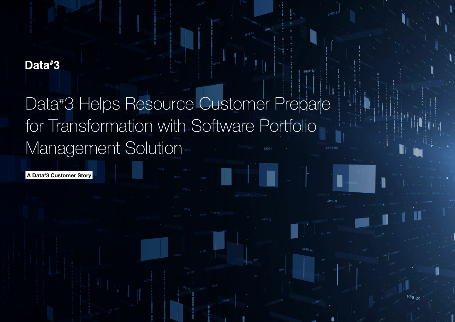# Data#3

# Data<sup>#</sup>3 Helps Resource Customer Prepare for Transformation with Software Portfolio Management Solution

A Data# 3 Customer Story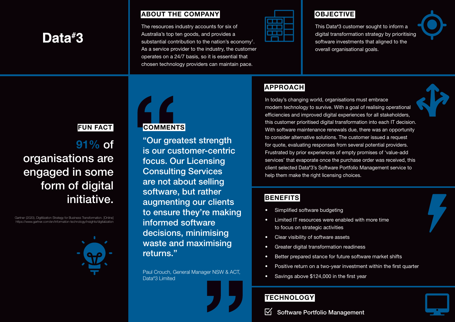# Data#3

ABOUT THE COMPANY

The resources industry accounts for six of Australia's top ten goods, and provides a substantial contribution to the nation's economy<sup>1</sup>. As a service provider to the industry, the customer operates on a 24/7 basis, so it is essential that chosen technology providers can maintain pace.

### **OBJECTIVE**

This Data# 3 customer sought to inform a digital transformation strategy by prioritising software investments that aligned to the overall organisational goals.

# APPROACH

In today's changing world, organisations must embrace modern technology to survive. With a goal of realising operational efficiencies and improved digital experiences for all stakeholders, this customer prioritised digital transformation into each IT decision. With software maintenance renewals due, there was an opportunity to consider alternative solutions. The customer issued a request for quote, evaluating responses from several potential providers. Frustrated by prior experiences of empty promises of 'value-add services' that evaporate once the purchase order was received, this client selected Data# 3's Software Portfolio Management service to help them make the right licensing choices.

### **BENEFITS**

- Simplified software budgeting
- Limited IT resources were enabled with more time to focus on strategic activities
- Clear visibility of software assets
- Greater digital transformation readiness
- Better prepared stance for future software market shifts
- Positive return on a two-year investment within the first quarter
- Savings above \$124,000 in the first year

## **TECHNOLOGY**

# FUN FACT

# 91% of organisations are engaged in some form of digital initiative.

Gartner (2020), Digitilization Strategy for Business Transformation. [Online] https://www.gartner.com/en/information-technology/insights/digitalization



**COMMENTS** 

"Our greatest strength is our customer-centric focus. Our Licensing Consulting Services are not about selling software, but rather augmenting our clients to ensure they're making informed software decisions, minimising waste and maximising returns."

Paul Crouch, General Manager NSW & ACT, Data# 3 Limited





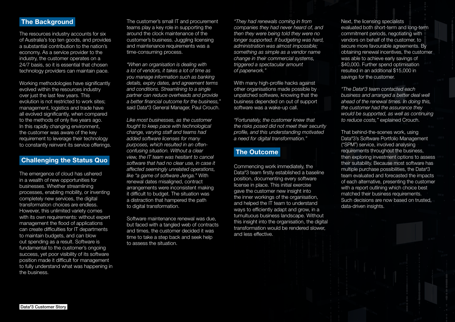#### **The Background**

The resources industry accounts for six of Australia's top ten goods, and provides a substantial contribution to the nation's economy. As a service provider to the industry, the customer operates on a 24/7 basis, so it is essential that chosen technology providers can maintain pace.

Working methodologies have significantly evolved within the resources industry over just the last few years. This evolution is not restricted to work sites; management, logistics and trade have all evolved significantly, when compared to the methods of only five years ago. In this rapidly changing environment, the customer was aware of the key requirement to leverage their technology to constantly reinvent its service offerings.

#### Challenging the Status Quo

The emergence of cloud has ushered in a wealth of new opportunities for businesses. Whether streamlining processes, enabling mobility, or inventing completely new services, the digital transformation choices are endless. However, this unlimited variety comes with its own requirements: without expert management the flood of applications can create difficulties for IT departments to maintain budgets, and can blow out spending as a result. Software is fundamental to the customer's ongoing success, yet poor visibility of its software position made it difficult for management to fully understand what was happening in the business.

The customer's small IT and procurement teams play a key role in supporting the around the clock maintenance of the customer's business. Juggling licensing and maintenance requirements was a time-consuming process.

*"When an organisation is dealing with a lot of vendors, it takes a lot of time as you manage information such as banking details, expiry dates, and agreement terms and conditions. Streamlining to a single partner can reduce overheads and provide a better financial outcome for the business,"* said Data# 3 General Manager, Paul Crouch.

*Like most businesses, as the customer fought to keep pace with technological change, varying staff and teams had added software licenses for many purposes, which resulted in an oftenconfusing situation. Without a clear view, the IT team was hesitant to cancel software that had no clear use, in case it affected seemingly unrelated operations, like "a game of software Jenga."* With renewal dates misaligned, contract arrangements were inconsistent making it difficult to budget. The situation was a distraction that hampered the path to digital transformation.

Software maintenance renewal was due, but faced with a tangled web of contracts and times, the customer decided it was time to take a step back and seek help to assess the situation.

*"They had renewals coming in from companies they had never heard of, and then they were being told they were no longer supported. If budgeting was hard, administration was almost impossible; something as simple as a vendor name change in their commercial systems, triggered a spectacular amount of paperwork."* 

With many high-profile hacks against other organisations made possible by unpatched software, knowing that the business depended on out of support software was a wake-up call.

*"Fortunately, the customer knew that the risks posed did not meet their security profile, and this understanding motivated a need for digital transformation."*

#### The Outcome

Commencing work immediately, the Data# 3 team firstly established a baseline position, documenting every software license in place. This initial exercise gave the customer new insight into the inner workings of the organisation, and helped the IT team to understand ways to efficiently adapt and grow, in a tumultuous business landscape. Without this insight into the organisation, the digital transformation would be rendered slower, and less effective.

Next, the licensing specialists evaluated both short-term and long-term commitment periods, negotiating with vendors on behalf of the customer, to secure more favourable agreements. By obtaining renewal incentives, the customer was able to achieve early savings of \$40,000. Further spend optimisation resulted in an additional \$15,000 in savings for the customer.

*"The Data# 3 team contacted each business and arranged a better deal well ahead of the renewal times. In doing this, the customer had the assurance they would be supported, as well as continuing to reduce costs,"* explained Crouch.

That behind-the-scenes work, using Data# 3's Software Portfolio Management ("SPM") service, involved analysing requirements throughout the business, then exploring investment options to assess their suitability. Because most software has multiple purchase possibilities, the Data# 3 team evaluated and forecasted the impacts of each alternative, presenting the customer with a report outlining which choice best matched their business requirements. Such decisions are now based on trusted, data-driven insights.